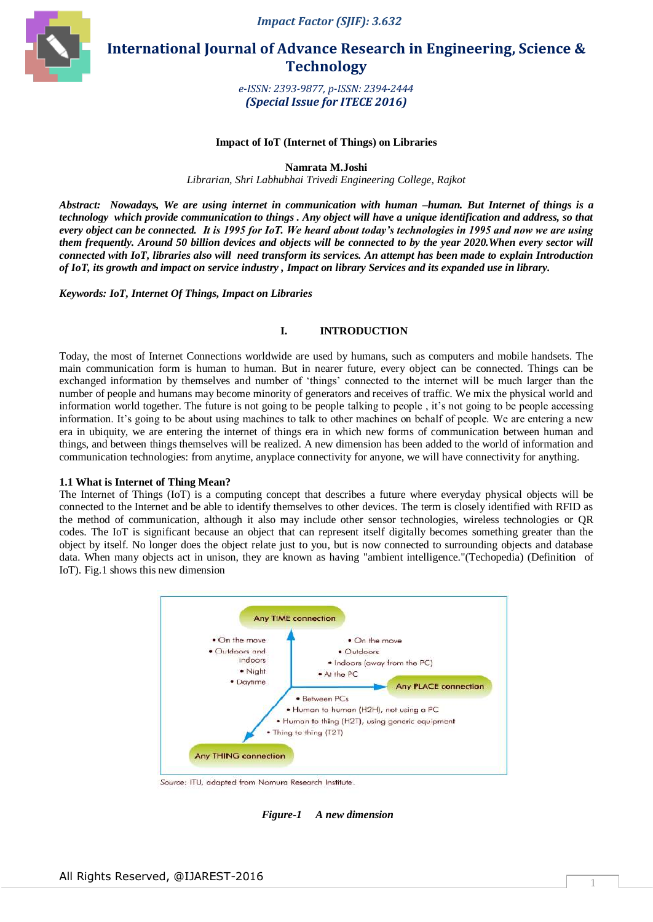



 **International Journal of Advance Research in Engineering, Science & Technology** 

> *e-ISSN: 2393-9877, p-ISSN: 2394-2444 (Special Issue for ITECE 2016)*

#### **Impact of IoT (Internet of Things) on Libraries**

**Namrata M.Joshi**

*Librarian, Shri Labhubhai Trivedi Engineering College, Rajkot* 

*Abstract: Nowadays, We are using internet in communication with human –human. But Internet of things is a technology which provide communication to things . Any object will have a unique identification and address, so that every object can be connected. It is 1995 for IoT. We heard about today's technologies in 1995 and now we are using them frequently. Around 50 billion devices and objects will be connected to by the year 2020.When every sector will connected with IoT, libraries also will need transform its services. An attempt has been made to explain Introduction of IoT, its growth and impact on service industry , Impact on library Services and its expanded use in library.*

*Keywords: IoT, Internet Of Things, Impact on Libraries* 

#### **I. INTRODUCTION**

Today, the most of Internet Connections worldwide are used by humans, such as computers and mobile handsets. The main communication form is human to human. But in nearer future, every object can be connected. Things can be exchanged information by themselves and number of 'things' connected to the internet will be much larger than the number of people and humans may become minority of generators and receives of traffic. We mix the physical world and information world together. The future is not going to be people talking to people , it's not going to be people accessing information. It's going to be about using machines to talk to other machines on behalf of people. We are entering a new era in ubiquity, we are entering the internet of things era in which new forms of communication between human and things, and between things themselves will be realized. A new dimension has been added to the world of information and communication technologies: from anytime, anyplace connectivity for anyone, we will have connectivity for anything.

#### **1.1 What is Internet of Thing Mean?**

The Internet of Things (IoT) is a computing concept that describes a future where everyday physical objects will be connected to the Internet and be able to identify themselves to other devices. The term is closely identified with RFID as the method of communication, although it also may include other sensor technologies, wireless technologies or QR codes. The IoT is significant because an object that can represent itself digitally becomes something greater than the object by itself. No longer does the object relate just to you, but is now connected to surrounding objects and database data. When many objects act in unison, they are known as having "ambient intelligence."(Techopedia) (Definition of IoT). Fig.1 shows this new dimension



Source: ITU, adapted from Nomura Research Institute.

*Figure-1 A new dimension*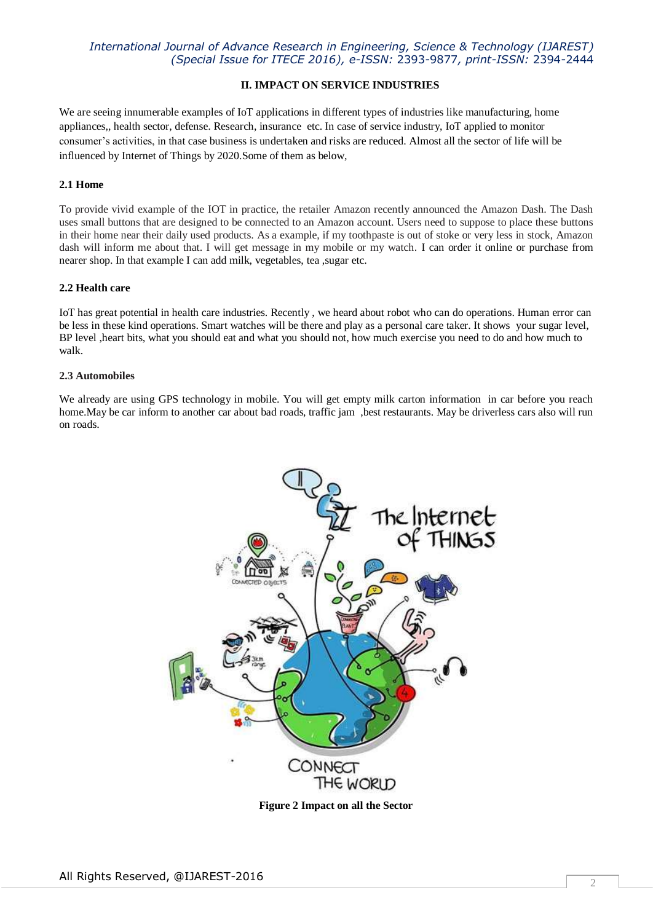# *International Journal of Advance Research in Engineering, Science & Technology (IJAREST) (Special Issue for ITECE 2016), e-ISSN:* 2393-9877*, print-ISSN:* 2394-2444

## **II. IMPACT ON SERVICE INDUSTRIES**

We are seeing innumerable examples of IoT applications in different types of industries like manufacturing, home appliances,, health sector, defense. Research, insurance etc. In case of service industry, IoT applied to monitor consumer's activities, in that case business is undertaken and risks are reduced. Almost all the sector of life will be influenced by Internet of Things by 2020.Some of them as below,

## **2.1 Home**

To provide vivid example of the IOT in practice, the retailer Amazon recently announced the Amazon Dash. The Dash uses small buttons that are designed to be connected to an Amazon account. Users need to suppose to place these buttons in their home near their daily used products. As a example, if my toothpaste is out of stoke or very less in stock, Amazon dash will inform me about that. I will get message in my mobile or my watch. I can order it online or purchase from nearer shop. In that example I can add milk, vegetables, tea ,sugar etc.

### **2.2 Health care**

IoT has great potential in health care industries. Recently , we heard about robot who can do operations. Human error can be less in these kind operations. Smart watches will be there and play as a personal care taker. It shows your sugar level, BP level ,heart bits, what you should eat and what you should not, how much exercise you need to do and how much to walk.

### **2.3 Automobiles**

We already are using GPS technology in mobile. You will get empty milk carton information in car before you reach home. May be car inform to another car about bad roads, traffic jam , best restaurants. May be driverless cars also will run on roads.



**Figure 2 Impact on all the Sector**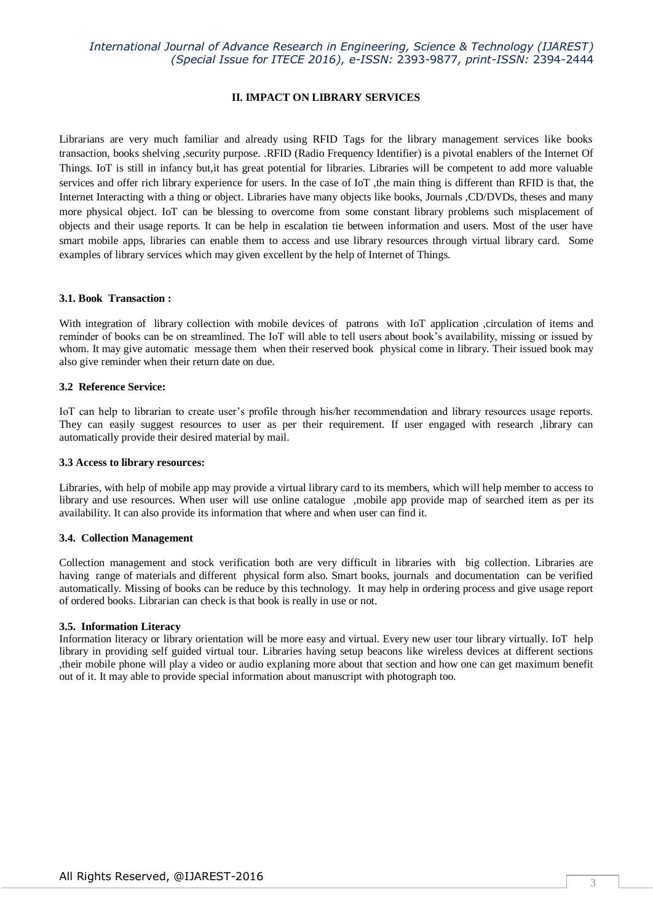# *International Journal of Advance Research in Engineering, Science & Technology (IJAREST) (Special Issue for ITECE 2016), e-ISSN:* 2393-9877*, print-ISSN:* 2394-2444

### **II. IMPACT ON LIBRARY SERVICES**

Librarians are very much familiar and already using RFID Tags for the library management services like books transaction, books shelving ,security purpose. .RFID (Radio Frequency Identifier) is a pivotal enablers of the Internet Of Things. IoT is still in infancy but,it has great potential for libraries. Libraries will be competent to add more valuable services and offer rich library experience for users. In the case of IoT ,the main thing is different than RFID is that, the Internet Interacting with a thing or object. Libraries have many objects like books, Journals ,CD/DVDs, theses and many more physical object. IoT can be blessing to overcome from some constant library problems such misplacement of objects and their usage reports. It can be help in escalation tie between information and users. Most of the user have smart mobile apps, libraries can enable them to access and use library resources through virtual library card. Some examples of library services which may given excellent by the help of Internet of Things.

#### **3.1. Book Transaction :**

With integration of library collection with mobile devices of patrons with IoT application ,circulation of items and reminder of books can be on streamlined. The IoT will able to tell users about book's availability, missing or issued by whom. It may give automatic message them when their reserved book physical come in library. Their issued book may also give reminder when their return date on due.

### **3.2 Reference Service:**

IoT can help to librarian to create user's profile through his/her recommendation and library resources usage reports. They can easily suggest resources to user as per their requirement. If user engaged with research ,library can automatically provide their desired material by mail.

#### **3.3 Access to library resources:**

Libraries, with help of mobile app may provide a virtual library card to its members, which will help member to access to library and use resources. When user will use online catalogue ,mobile app provide map of searched item as per its availability. It can also provide its information that where and when user can find it.

#### **3.4. Collection Management**

Collection management and stock verification both are very difficult in libraries with big collection. Libraries are having range of materials and different physical form also. Smart books, journals and documentation can be verified automatically. Missing of books can be reduce by this technology. It may help in ordering process and give usage report of ordered books. Librarian can check is that book is really in use or not.

#### **3.5. Information Literacy**

Information literacy or library orientation will be more easy and virtual. Every new user tour library virtually. IoT help library in providing self guided virtual tour. Libraries having setup beacons like wireless devices at different sections ,their mobile phone will play a video or audio explaning more about that section and how one can get maximum benefit out of it. It may able to provide special information about manuscript with photograph too.